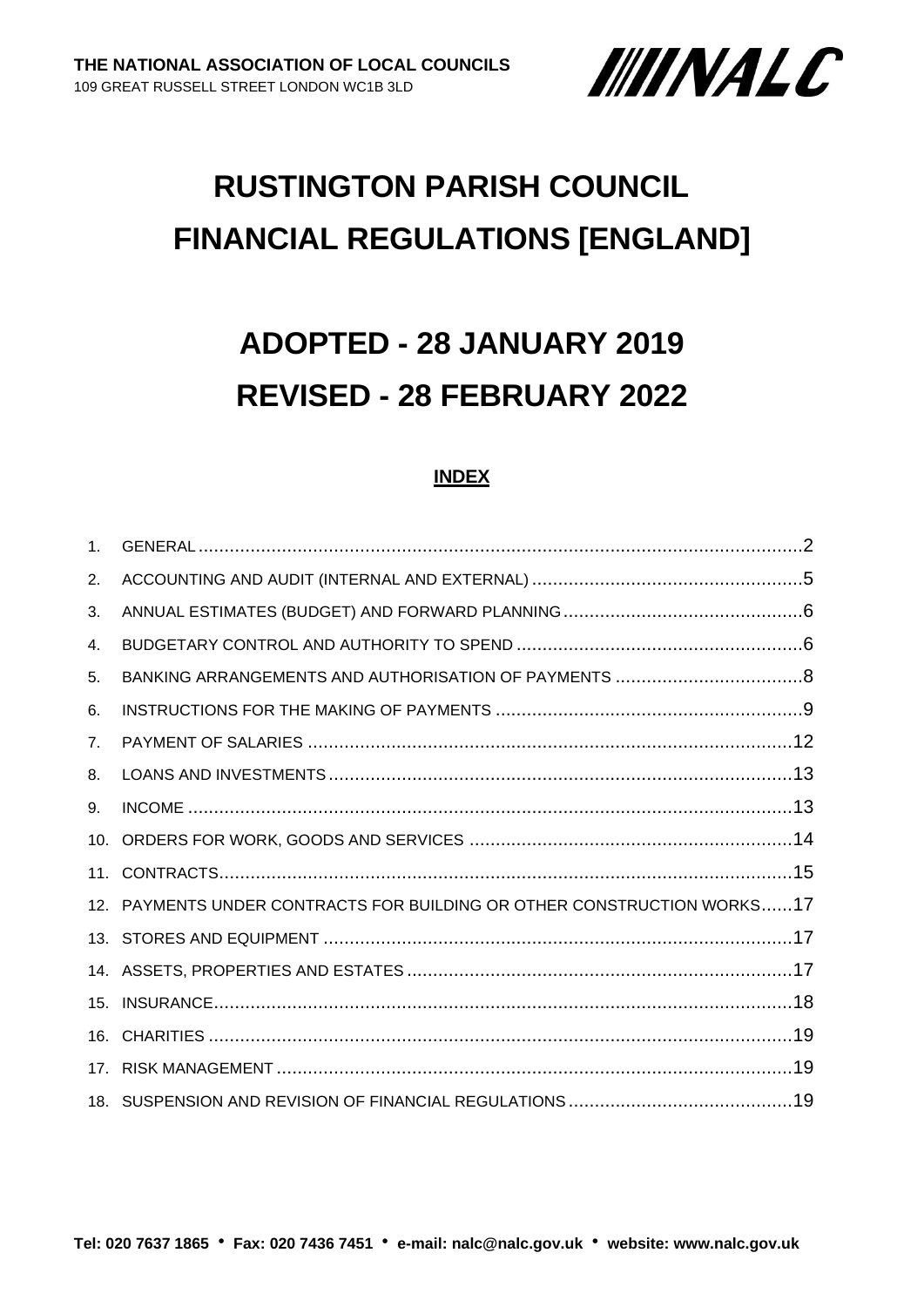

# **RUSTINGTON PARISH COUNCIL FINANCIAL REGULATIONS [ENGLAND]**

# **ADOPTED - 28 JANUARY 2019 REVISED - 28 FEBRUARY 2022**

#### **INDEX**

| 1 <sub>1</sub>  |                                                                         |
|-----------------|-------------------------------------------------------------------------|
| 2.              |                                                                         |
| 3.              |                                                                         |
| 4.              |                                                                         |
| 5.              |                                                                         |
| 6.              |                                                                         |
| 7 <sub>1</sub>  |                                                                         |
| 8.              |                                                                         |
| 9.              |                                                                         |
| 10.             |                                                                         |
|                 |                                                                         |
|                 | 12. PAYMENTS UNDER CONTRACTS FOR BUILDING OR OTHER CONSTRUCTION WORKS17 |
|                 |                                                                         |
|                 |                                                                         |
|                 |                                                                         |
|                 |                                                                         |
| 17 <sub>1</sub> |                                                                         |
|                 |                                                                         |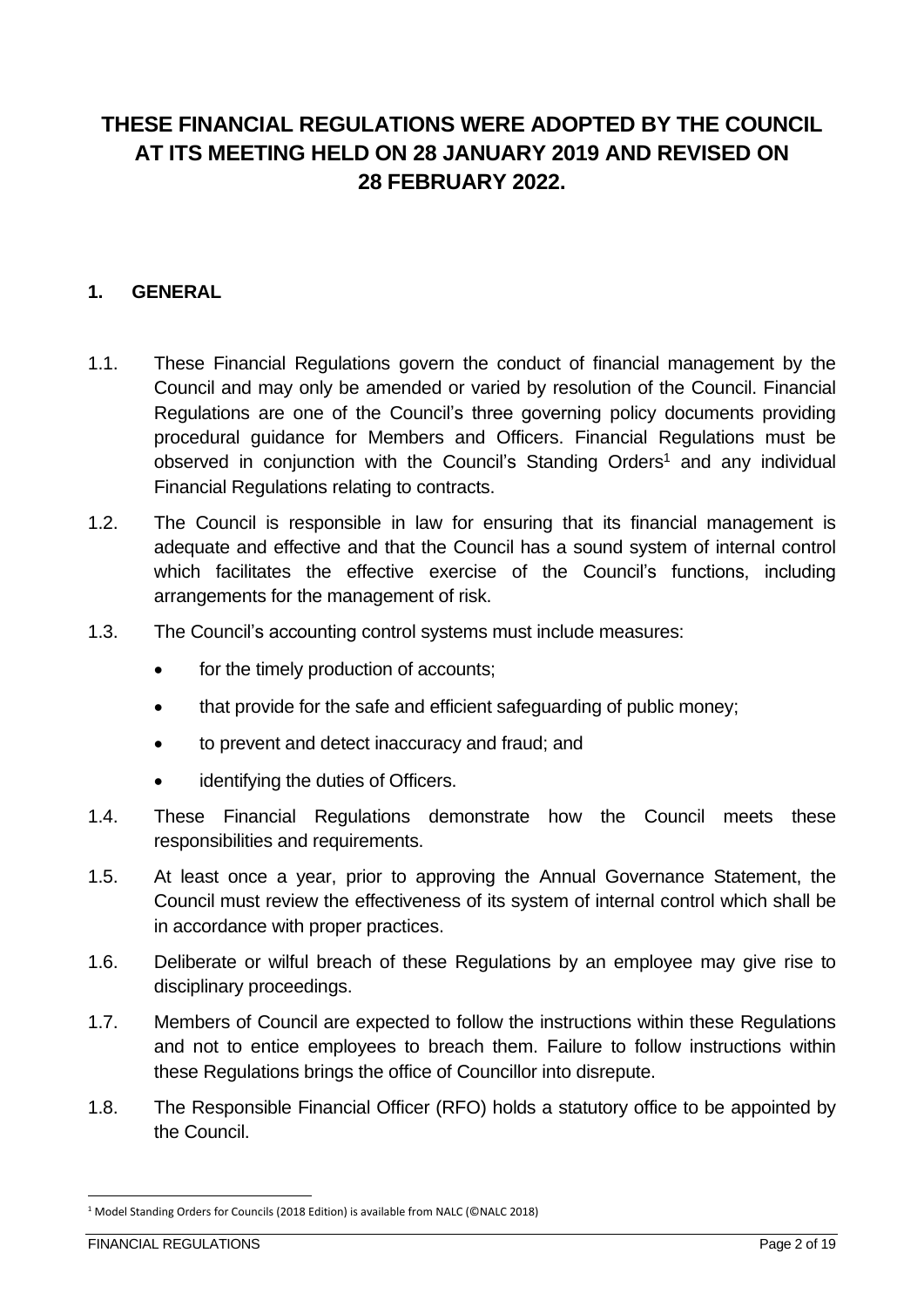# **THESE FINANCIAL REGULATIONS WERE ADOPTED BY THE COUNCIL AT ITS MEETING HELD ON 28 JANUARY 2019 AND REVISED ON 28 FEBRUARY 2022.**

#### <span id="page-1-0"></span>**1. GENERAL**

- 1.1. These Financial Regulations govern the conduct of financial management by the Council and may only be amended or varied by resolution of the Council. Financial Regulations are one of the Council's three governing policy documents providing procedural guidance for Members and Officers. Financial Regulations must be observed in conjunction with the Council's Standing Orders<sup>1</sup> and any individual Financial Regulations relating to contracts.
- 1.2. The Council is responsible in law for ensuring that its financial management is adequate and effective and that the Council has a sound system of internal control which facilitates the effective exercise of the Council's functions, including arrangements for the management of risk.
- 1.3. The Council's accounting control systems must include measures:
	- for the timely production of accounts;
	- that provide for the safe and efficient safeguarding of public money:
	- to prevent and detect inaccuracy and fraud; and
	- identifying the duties of Officers.
- 1.4. These Financial Regulations demonstrate how the Council meets these responsibilities and requirements.
- 1.5. At least once a year, prior to approving the Annual Governance Statement, the Council must review the effectiveness of its system of internal control which shall be in accordance with proper practices.
- 1.6. Deliberate or wilful breach of these Regulations by an employee may give rise to disciplinary proceedings.
- 1.7. Members of Council are expected to follow the instructions within these Regulations and not to entice employees to breach them. Failure to follow instructions within these Regulations brings the office of Councillor into disrepute.
- 1.8. The Responsible Financial Officer (RFO) holds a statutory office to be appointed by the Council.

<sup>1</sup> Model Standing Orders for Councils (2018 Edition) is available from NALC (©NALC 2018)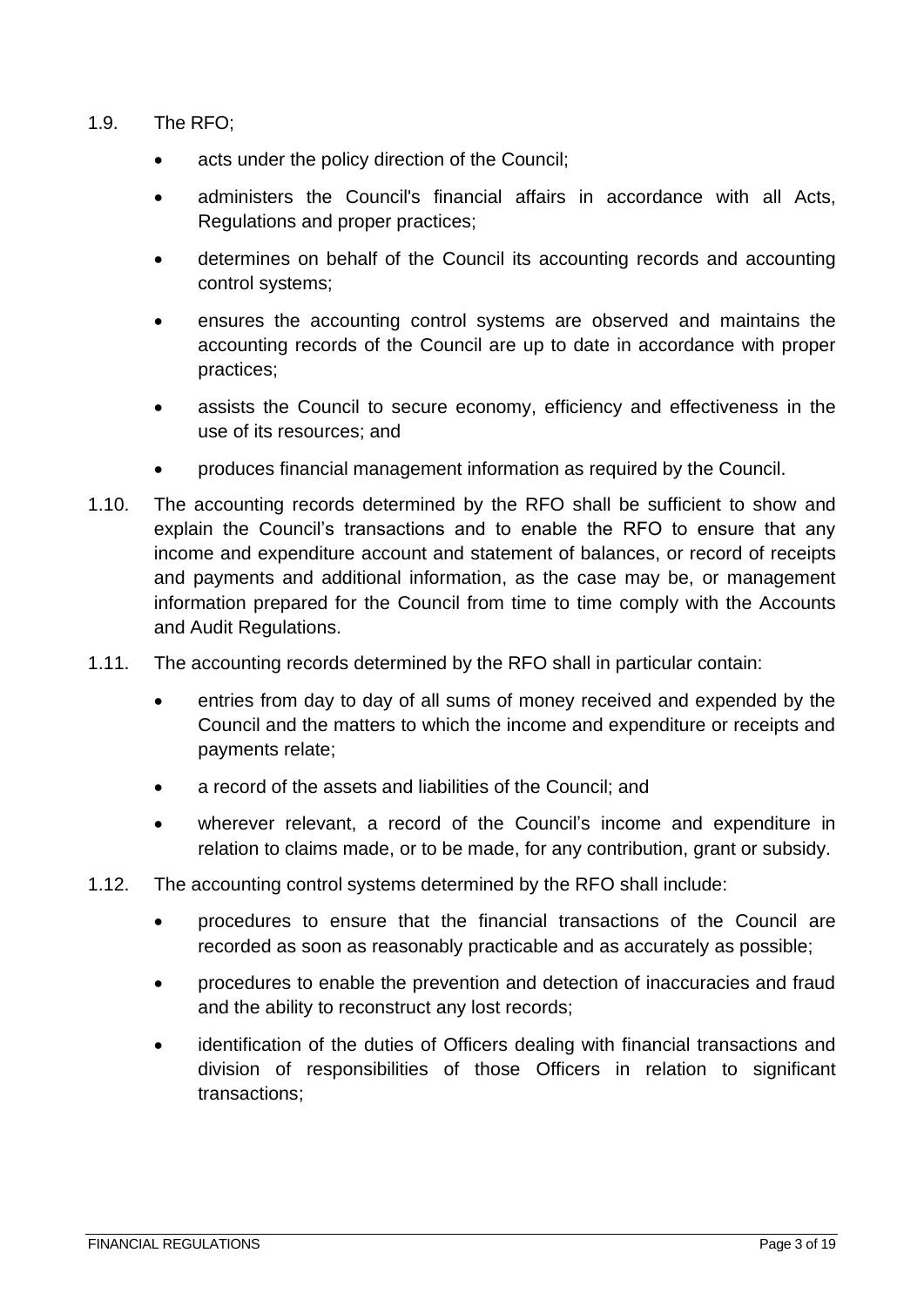- 1.9. The RFO;
	- acts under the policy direction of the Council;
	- administers the Council's financial affairs in accordance with all Acts, Regulations and proper practices;
	- determines on behalf of the Council its accounting records and accounting control systems;
	- ensures the accounting control systems are observed and maintains the accounting records of the Council are up to date in accordance with proper practices;
	- assists the Council to secure economy, efficiency and effectiveness in the use of its resources; and
	- produces financial management information as required by the Council.
- 1.10. The accounting records determined by the RFO shall be sufficient to show and explain the Council's transactions and to enable the RFO to ensure that any income and expenditure account and statement of balances, or record of receipts and payments and additional information, as the case may be, or management information prepared for the Council from time to time comply with the Accounts and Audit Regulations.
- 1.11. The accounting records determined by the RFO shall in particular contain:
	- entries from day to day of all sums of money received and expended by the Council and the matters to which the income and expenditure or receipts and payments relate;
	- a record of the assets and liabilities of the Council; and
	- wherever relevant, a record of the Council's income and expenditure in relation to claims made, or to be made, for any contribution, grant or subsidy.
- 1.12. The accounting control systems determined by the RFO shall include:
	- procedures to ensure that the financial transactions of the Council are recorded as soon as reasonably practicable and as accurately as possible;
	- procedures to enable the prevention and detection of inaccuracies and fraud and the ability to reconstruct any lost records;
	- identification of the duties of Officers dealing with financial transactions and division of responsibilities of those Officers in relation to significant transactions;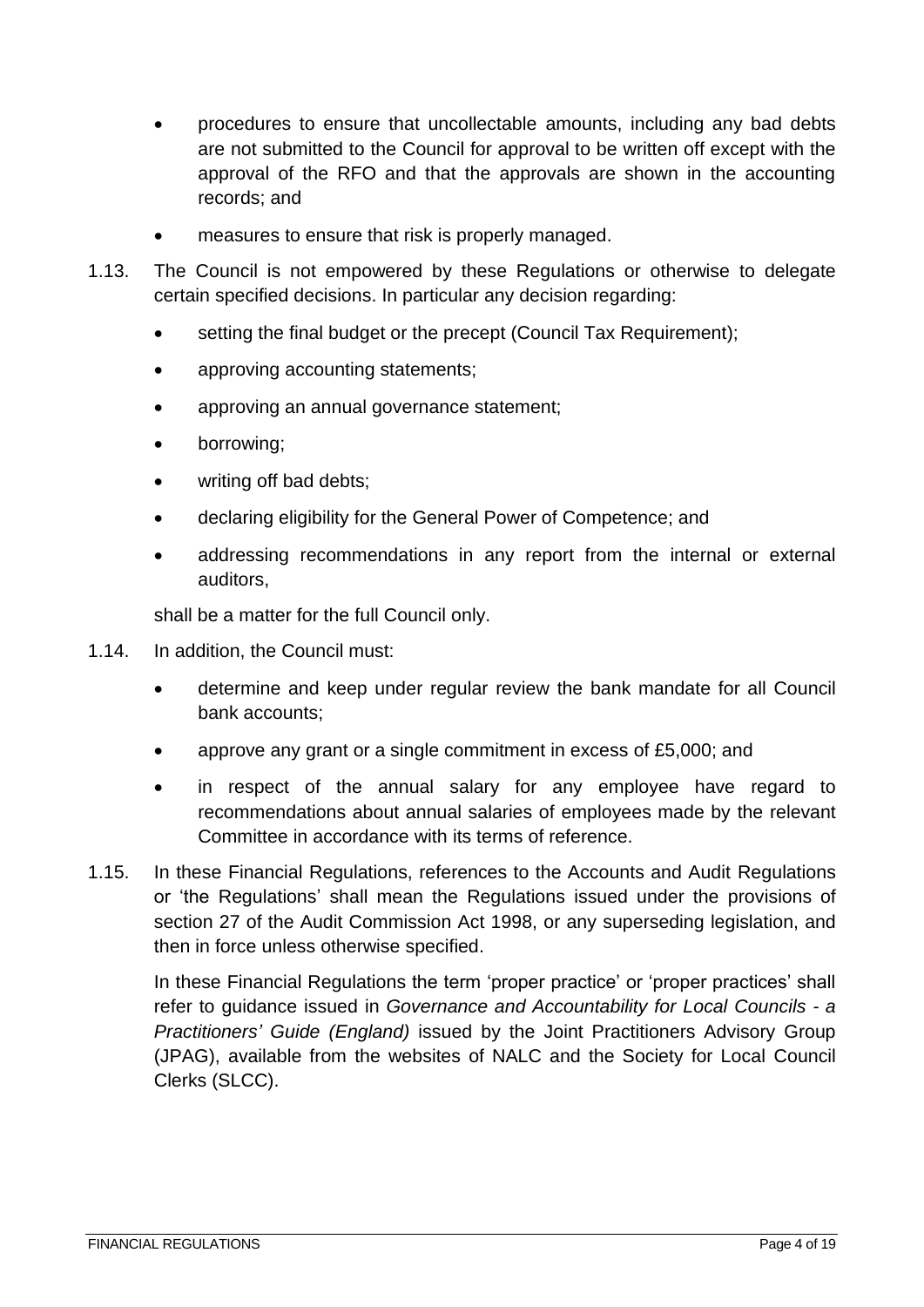- procedures to ensure that uncollectable amounts, including any bad debts are not submitted to the Council for approval to be written off except with the approval of the RFO and that the approvals are shown in the accounting records; and
- measures to ensure that risk is properly managed.
- 1.13. The Council is not empowered by these Regulations or otherwise to delegate certain specified decisions. In particular any decision regarding:
	- setting the final budget or the precept (Council Tax Requirement):
	- approving accounting statements;
	- approving an annual governance statement;
	- borrowing;
	- writing off bad debts;
	- declaring eligibility for the General Power of Competence; and
	- addressing recommendations in any report from the internal or external auditors,

shall be a matter for the full Council only.

- 1.14. In addition, the Council must:
	- determine and keep under regular review the bank mandate for all Council bank accounts;
	- approve any grant or a single commitment in excess of £5,000; and
	- in respect of the annual salary for any employee have regard to recommendations about annual salaries of employees made by the relevant Committee in accordance with its terms of reference.
- 1.15. In these Financial Regulations, references to the Accounts and Audit Regulations or 'the Regulations' shall mean the Regulations issued under the provisions of section 27 of the Audit Commission Act 1998, or any superseding legislation, and then in force unless otherwise specified.

In these Financial Regulations the term 'proper practice' or 'proper practices' shall refer to guidance issued in *Governance and Accountability for Local Councils - a Practitioners' Guide (England)* issued by the Joint Practitioners Advisory Group (JPAG), available from the websites of NALC and the Society for Local Council Clerks (SLCC).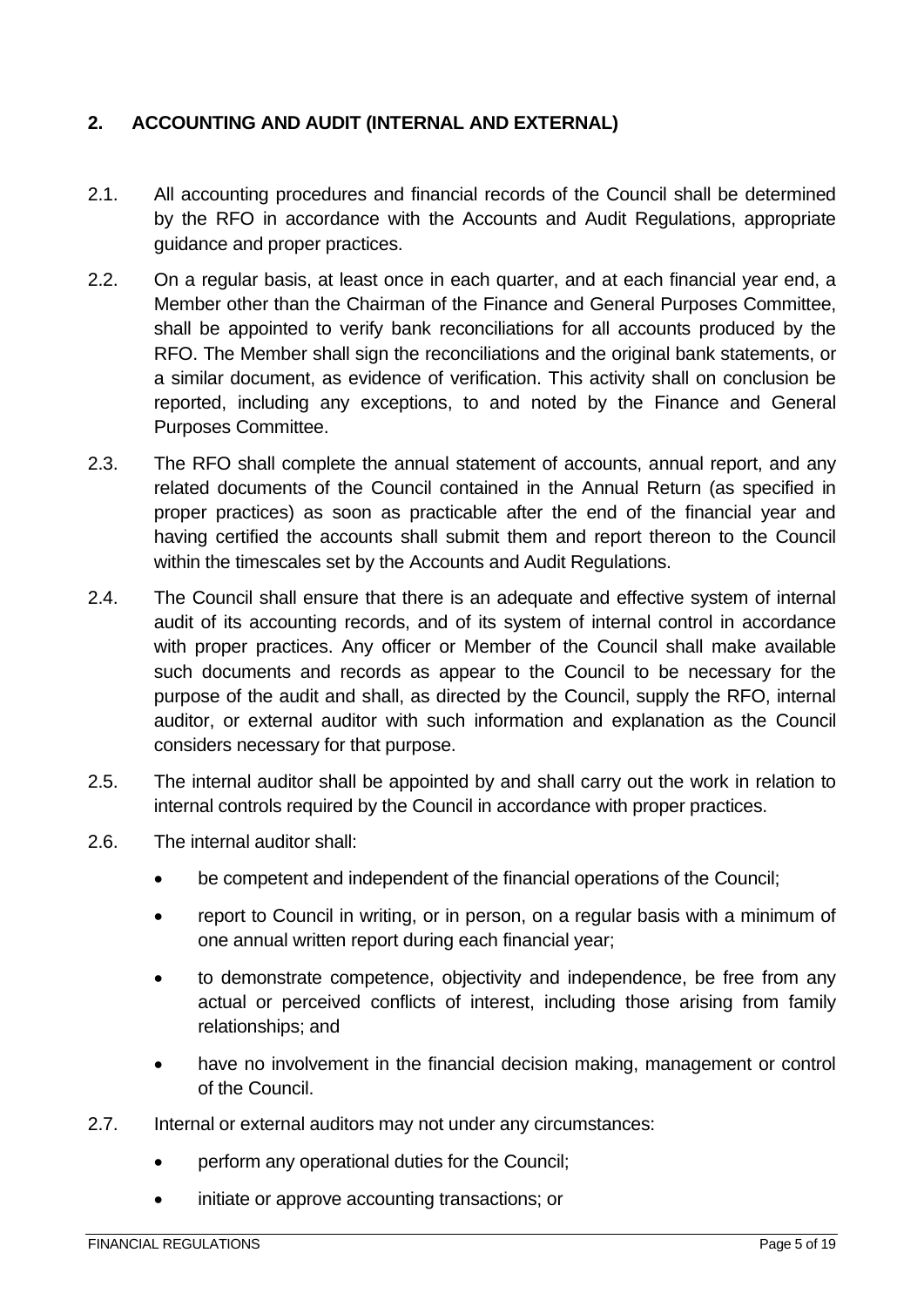#### <span id="page-4-0"></span>**2. ACCOUNTING AND AUDIT (INTERNAL AND EXTERNAL)**

- 2.1. All accounting procedures and financial records of the Council shall be determined by the RFO in accordance with the Accounts and Audit Regulations, appropriate guidance and proper practices.
- 2.2. On a regular basis, at least once in each quarter, and at each financial year end, a Member other than the Chairman of the Finance and General Purposes Committee, shall be appointed to verify bank reconciliations for all accounts produced by the RFO. The Member shall sign the reconciliations and the original bank statements, or a similar document, as evidence of verification. This activity shall on conclusion be reported, including any exceptions, to and noted by the Finance and General Purposes Committee.
- 2.3. The RFO shall complete the annual statement of accounts, annual report, and any related documents of the Council contained in the Annual Return (as specified in proper practices) as soon as practicable after the end of the financial year and having certified the accounts shall submit them and report thereon to the Council within the timescales set by the Accounts and Audit Regulations.
- 2.4. The Council shall ensure that there is an adequate and effective system of internal audit of its accounting records, and of its system of internal control in accordance with proper practices. Any officer or Member of the Council shall make available such documents and records as appear to the Council to be necessary for the purpose of the audit and shall, as directed by the Council, supply the RFO, internal auditor, or external auditor with such information and explanation as the Council considers necessary for that purpose.
- 2.5. The internal auditor shall be appointed by and shall carry out the work in relation to internal controls required by the Council in accordance with proper practices.
- 2.6. The internal auditor shall:
	- be competent and independent of the financial operations of the Council;
	- report to Council in writing, or in person, on a regular basis with a minimum of one annual written report during each financial year;
	- to demonstrate competence, objectivity and independence, be free from any actual or perceived conflicts of interest, including those arising from family relationships; and
	- have no involvement in the financial decision making, management or control of the Council.
- 2.7. Internal or external auditors may not under any circumstances:
	- perform any operational duties for the Council;
	- initiate or approve accounting transactions; or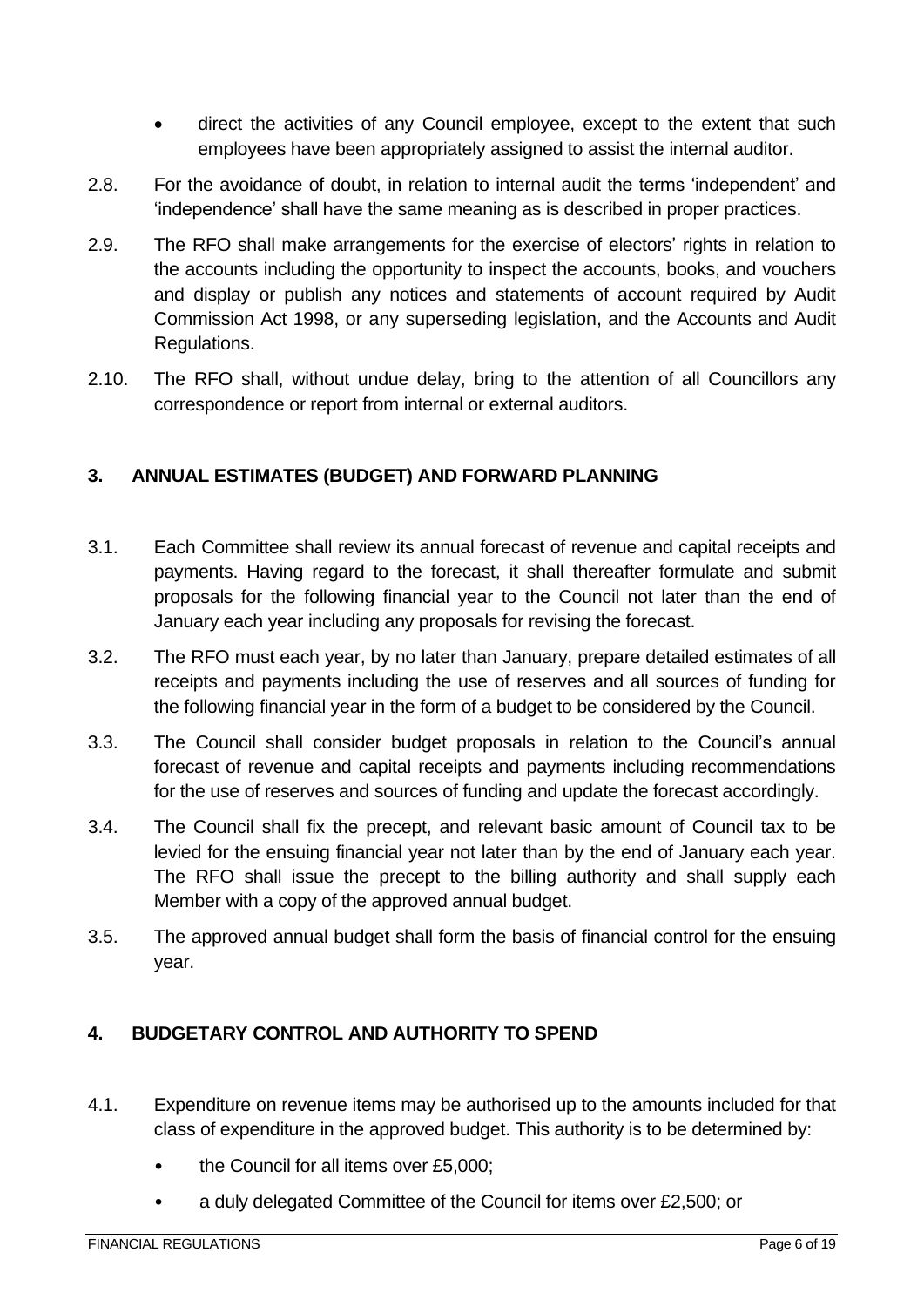- direct the activities of any Council employee, except to the extent that such employees have been appropriately assigned to assist the internal auditor.
- 2.8. For the avoidance of doubt, in relation to internal audit the terms 'independent' and 'independence' shall have the same meaning as is described in proper practices.
- 2.9. The RFO shall make arrangements for the exercise of electors' rights in relation to the accounts including the opportunity to inspect the accounts, books, and vouchers and display or publish any notices and statements of account required by Audit Commission Act 1998, or any superseding legislation, and the Accounts and Audit Regulations.
- 2.10. The RFO shall, without undue delay, bring to the attention of all Councillors any correspondence or report from internal or external auditors.

#### <span id="page-5-0"></span>**3. ANNUAL ESTIMATES (BUDGET) AND FORWARD PLANNING**

- 3.1. Each Committee shall review its annual forecast of revenue and capital receipts and payments. Having regard to the forecast, it shall thereafter formulate and submit proposals for the following financial year to the Council not later than the end of January each year including any proposals for revising the forecast.
- 3.2. The RFO must each year, by no later than January, prepare detailed estimates of all receipts and payments including the use of reserves and all sources of funding for the following financial year in the form of a budget to be considered by the Council.
- 3.3. The Council shall consider budget proposals in relation to the Council's annual forecast of revenue and capital receipts and payments including recommendations for the use of reserves and sources of funding and update the forecast accordingly.
- 3.4. The Council shall fix the precept, and relevant basic amount of Council tax to be levied for the ensuing financial year not later than by the end of January each year. The RFO shall issue the precept to the billing authority and shall supply each Member with a copy of the approved annual budget.
- 3.5. The approved annual budget shall form the basis of financial control for the ensuing year.

### <span id="page-5-1"></span>**4. BUDGETARY CONTROL AND AUTHORITY TO SPEND**

- 4.1. Expenditure on revenue items may be authorised up to the amounts included for that class of expenditure in the approved budget. This authority is to be determined by:
	- the Council for all items over £5,000;
	- a duly delegated Committee of the Council for items over £2,500; or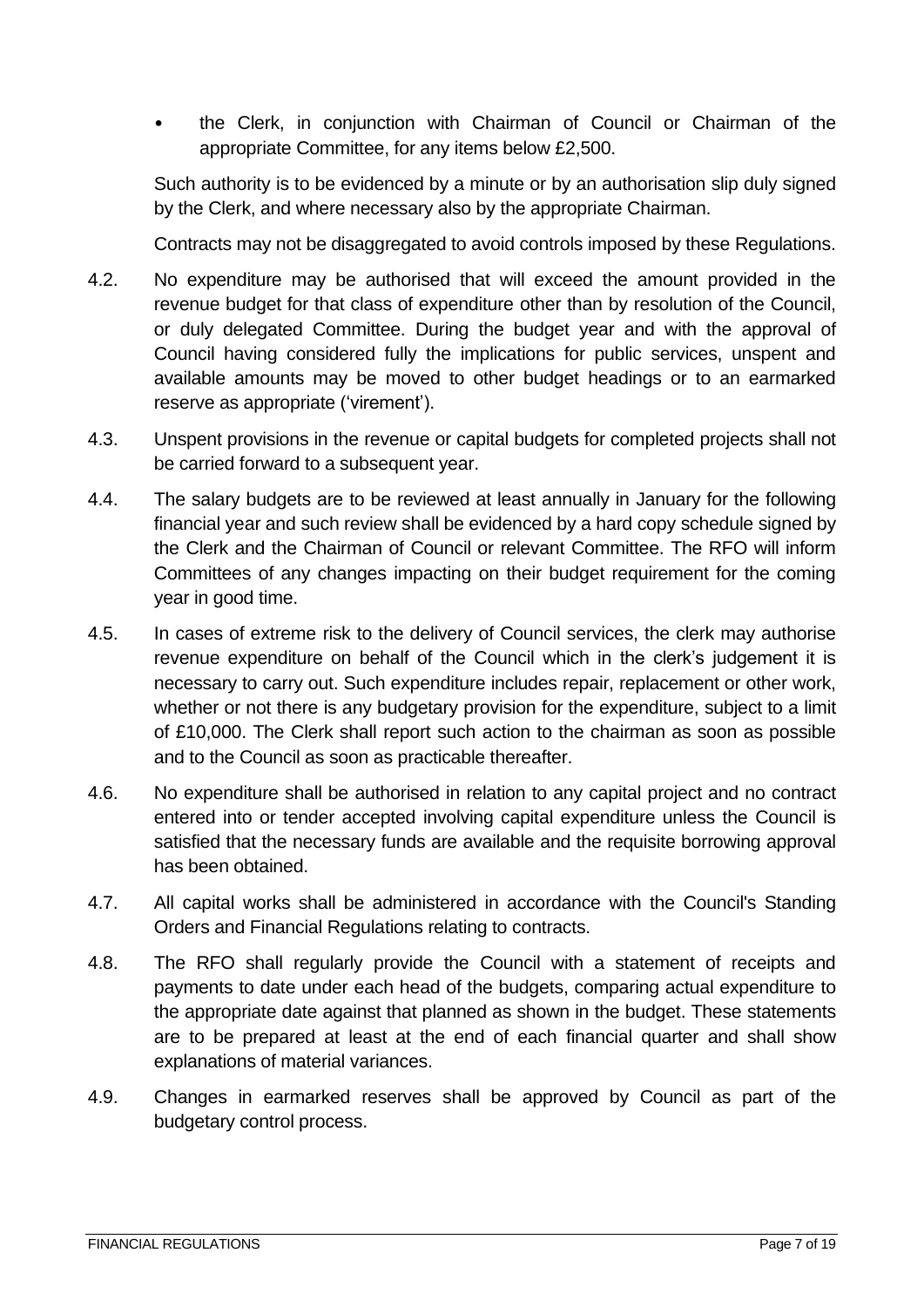• the Clerk, in conjunction with Chairman of Council or Chairman of the appropriate Committee, for any items below £2,500.

Such authority is to be evidenced by a minute or by an authorisation slip duly signed by the Clerk, and where necessary also by the appropriate Chairman.

Contracts may not be disaggregated to avoid controls imposed by these Regulations.

- 4.2. No expenditure may be authorised that will exceed the amount provided in the revenue budget for that class of expenditure other than by resolution of the Council, or duly delegated Committee. During the budget year and with the approval of Council having considered fully the implications for public services, unspent and available amounts may be moved to other budget headings or to an earmarked reserve as appropriate ('virement').
- 4.3. Unspent provisions in the revenue or capital budgets for completed projects shall not be carried forward to a subsequent year.
- 4.4. The salary budgets are to be reviewed at least annually in January for the following financial year and such review shall be evidenced by a hard copy schedule signed by the Clerk and the Chairman of Council or relevant Committee. The RFO will inform Committees of any changes impacting on their budget requirement for the coming year in good time.
- 4.5. In cases of extreme risk to the delivery of Council services, the clerk may authorise revenue expenditure on behalf of the Council which in the clerk's judgement it is necessary to carry out. Such expenditure includes repair, replacement or other work, whether or not there is any budgetary provision for the expenditure, subject to a limit of £10,000. The Clerk shall report such action to the chairman as soon as possible and to the Council as soon as practicable thereafter.
- 4.6. No expenditure shall be authorised in relation to any capital project and no contract entered into or tender accepted involving capital expenditure unless the Council is satisfied that the necessary funds are available and the requisite borrowing approval has been obtained.
- 4.7. All capital works shall be administered in accordance with the Council's Standing Orders and Financial Regulations relating to contracts.
- 4.8. The RFO shall regularly provide the Council with a statement of receipts and payments to date under each head of the budgets, comparing actual expenditure to the appropriate date against that planned as shown in the budget. These statements are to be prepared at least at the end of each financial quarter and shall show explanations of material variances.
- 4.9. Changes in earmarked reserves shall be approved by Council as part of the budgetary control process.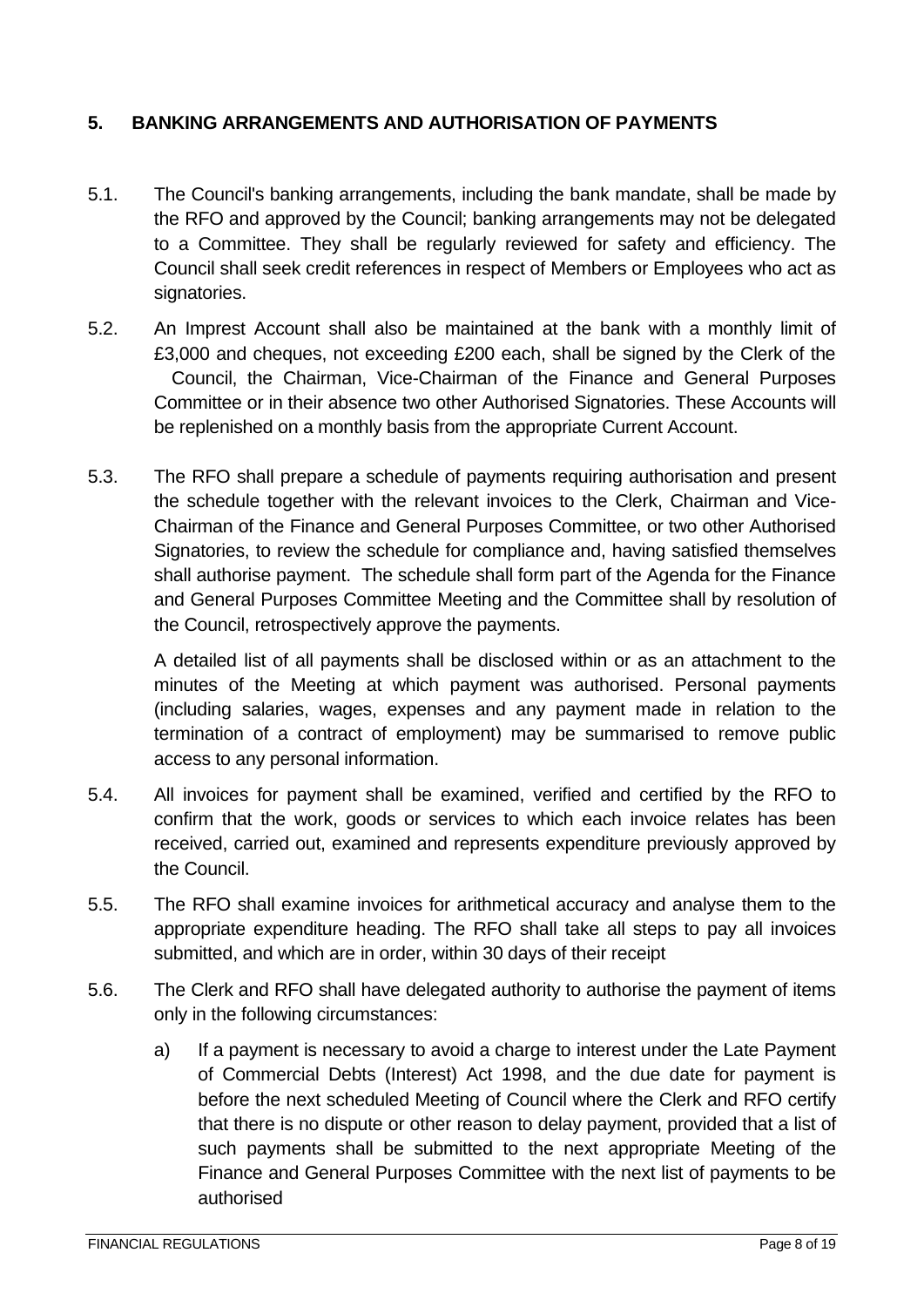#### <span id="page-7-0"></span>**5. BANKING ARRANGEMENTS AND AUTHORISATION OF PAYMENTS**

- 5.1. The Council's banking arrangements, including the bank mandate, shall be made by the RFO and approved by the Council; banking arrangements may not be delegated to a Committee. They shall be regularly reviewed for safety and efficiency. The Council shall seek credit references in respect of Members or Employees who act as signatories.
- 5.2. An Imprest Account shall also be maintained at the bank with a monthly limit of £3,000 and cheques, not exceeding £200 each, shall be signed by the Clerk of the Council, the Chairman, Vice-Chairman of the Finance and General Purposes Committee or in their absence two other Authorised Signatories. These Accounts will be replenished on a monthly basis from the appropriate Current Account.
- 5.3. The RFO shall prepare a schedule of payments requiring authorisation and present the schedule together with the relevant invoices to the Clerk, Chairman and Vice-Chairman of the Finance and General Purposes Committee, or two other Authorised Signatories, to review the schedule for compliance and, having satisfied themselves shall authorise payment. The schedule shall form part of the Agenda for the Finance and General Purposes Committee Meeting and the Committee shall by resolution of the Council, retrospectively approve the payments.

A detailed list of all payments shall be disclosed within or as an attachment to the minutes of the Meeting at which payment was authorised. Personal payments (including salaries, wages, expenses and any payment made in relation to the termination of a contract of employment) may be summarised to remove public access to any personal information.

- 5.4. All invoices for payment shall be examined, verified and certified by the RFO to confirm that the work, goods or services to which each invoice relates has been received, carried out, examined and represents expenditure previously approved by the Council.
- 5.5. The RFO shall examine invoices for arithmetical accuracy and analyse them to the appropriate expenditure heading. The RFO shall take all steps to pay all invoices submitted, and which are in order, within 30 days of their receipt
- 5.6. The Clerk and RFO shall have delegated authority to authorise the payment of items only in the following circumstances:
	- a) If a payment is necessary to avoid a charge to interest under the Late Payment of Commercial Debts (Interest) Act 1998, and the due date for payment is before the next scheduled Meeting of Council where the Clerk and RFO certify that there is no dispute or other reason to delay payment, provided that a list of such payments shall be submitted to the next appropriate Meeting of the Finance and General Purposes Committee with the next list of payments to be authorised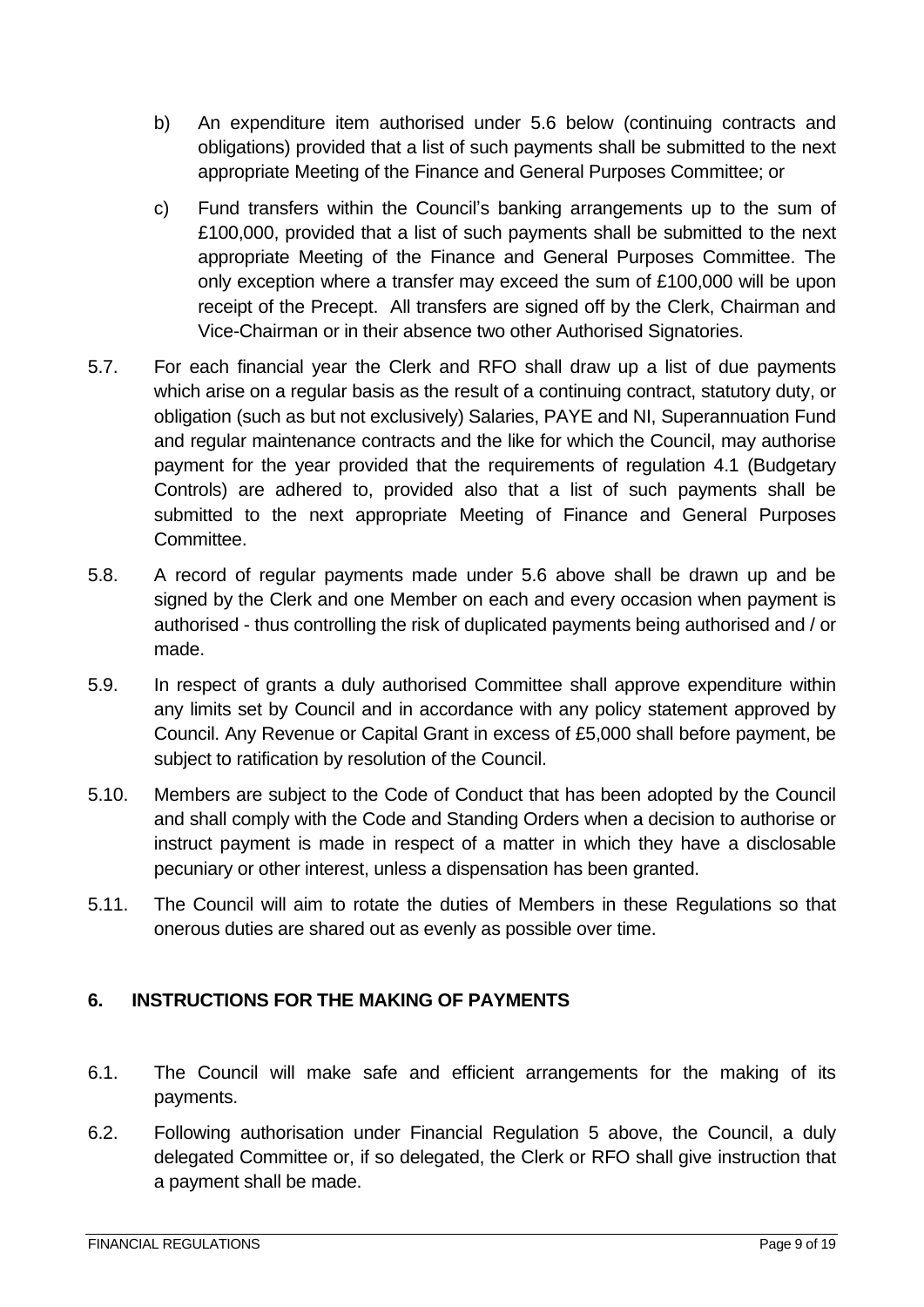- b) An expenditure item authorised under 5.6 below (continuing contracts and obligations) provided that a list of such payments shall be submitted to the next appropriate Meeting of the Finance and General Purposes Committee; or
- c) Fund transfers within the Council's banking arrangements up to the sum of £100,000, provided that a list of such payments shall be submitted to the next appropriate Meeting of the Finance and General Purposes Committee. The only exception where a transfer may exceed the sum of £100,000 will be upon receipt of the Precept. All transfers are signed off by the Clerk, Chairman and Vice-Chairman or in their absence two other Authorised Signatories.
- 5.7. For each financial year the Clerk and RFO shall draw up a list of due payments which arise on a regular basis as the result of a continuing contract, statutory duty, or obligation (such as but not exclusively) Salaries, PAYE and NI, Superannuation Fund and regular maintenance contracts and the like for which the Council, may authorise payment for the year provided that the requirements of regulation 4.1 (Budgetary Controls) are adhered to, provided also that a list of such payments shall be submitted to the next appropriate Meeting of Finance and General Purposes Committee.
- 5.8. A record of regular payments made under 5.6 above shall be drawn up and be signed by the Clerk and one Member on each and every occasion when payment is authorised - thus controlling the risk of duplicated payments being authorised and / or made.
- 5.9. In respect of grants a duly authorised Committee shall approve expenditure within any limits set by Council and in accordance with any policy statement approved by Council. Any Revenue or Capital Grant in excess of £5,000 shall before payment, be subject to ratification by resolution of the Council.
- 5.10. Members are subject to the Code of Conduct that has been adopted by the Council and shall comply with the Code and Standing Orders when a decision to authorise or instruct payment is made in respect of a matter in which they have a disclosable pecuniary or other interest, unless a dispensation has been granted.
- 5.11. The Council will aim to rotate the duties of Members in these Regulations so that onerous duties are shared out as evenly as possible over time.

## <span id="page-8-0"></span>**6. INSTRUCTIONS FOR THE MAKING OF PAYMENTS**

- 6.1. The Council will make safe and efficient arrangements for the making of its payments.
- 6.2. Following authorisation under Financial Regulation 5 above, the Council, a duly delegated Committee or, if so delegated, the Clerk or RFO shall give instruction that a payment shall be made.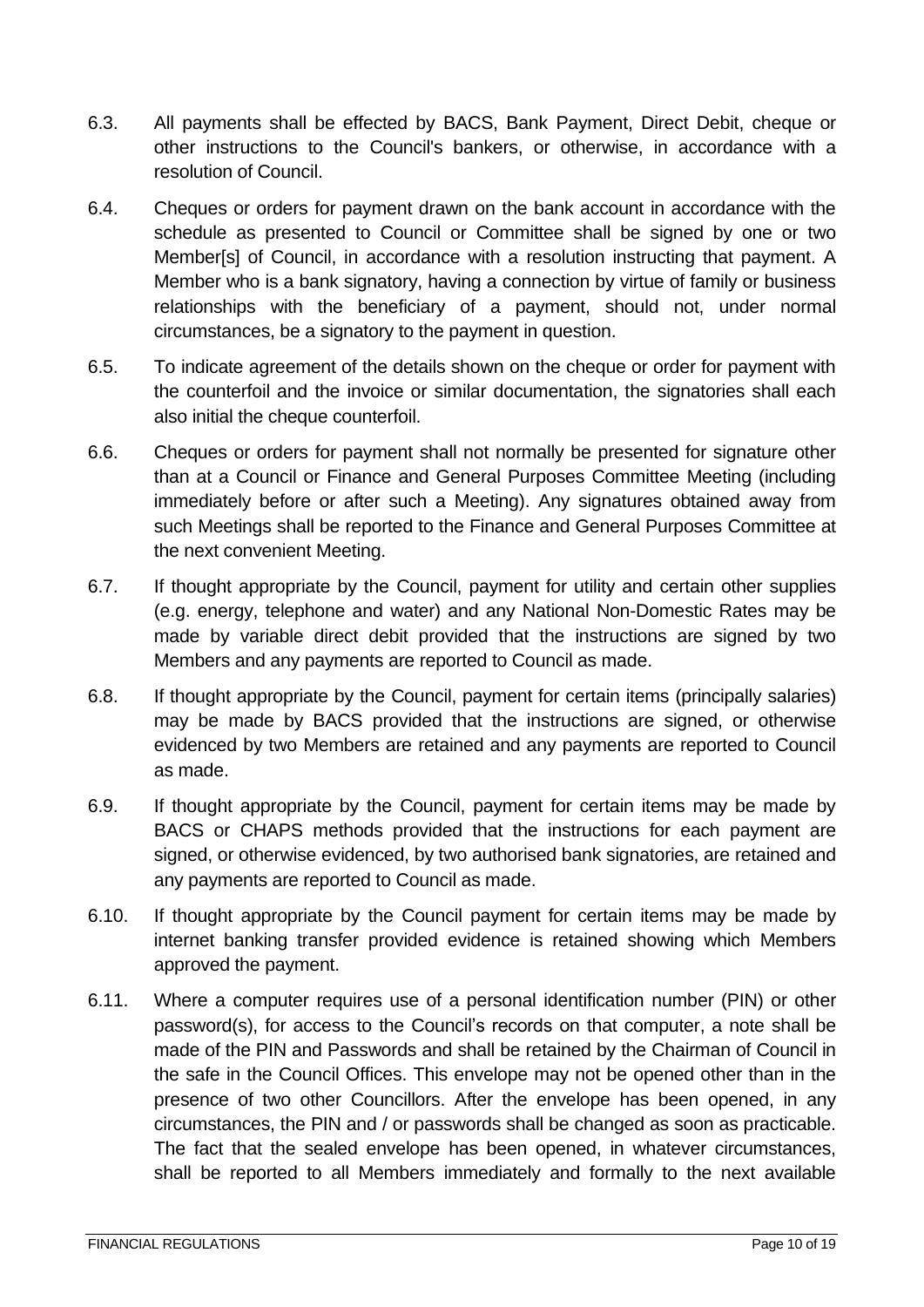- 6.3. All payments shall be effected by BACS, Bank Payment, Direct Debit, cheque or other instructions to the Council's bankers, or otherwise, in accordance with a resolution of Council.
- 6.4. Cheques or orders for payment drawn on the bank account in accordance with the schedule as presented to Council or Committee shall be signed by one or two Member[s] of Council, in accordance with a resolution instructing that payment. A Member who is a bank signatory, having a connection by virtue of family or business relationships with the beneficiary of a payment, should not, under normal circumstances, be a signatory to the payment in question.
- 6.5. To indicate agreement of the details shown on the cheque or order for payment with the counterfoil and the invoice or similar documentation, the signatories shall each also initial the cheque counterfoil.
- 6.6. Cheques or orders for payment shall not normally be presented for signature other than at a Council or Finance and General Purposes Committee Meeting (including immediately before or after such a Meeting). Any signatures obtained away from such Meetings shall be reported to the Finance and General Purposes Committee at the next convenient Meeting.
- 6.7. If thought appropriate by the Council, payment for utility and certain other supplies (e.g. energy, telephone and water) and any National Non-Domestic Rates may be made by variable direct debit provided that the instructions are signed by two Members and any payments are reported to Council as made.
- 6.8. If thought appropriate by the Council, payment for certain items (principally salaries) may be made by BACS provided that the instructions are signed, or otherwise evidenced by two Members are retained and any payments are reported to Council as made.
- 6.9. If thought appropriate by the Council, payment for certain items may be made by BACS or CHAPS methods provided that the instructions for each payment are signed, or otherwise evidenced, by two authorised bank signatories, are retained and any payments are reported to Council as made.
- 6.10. If thought appropriate by the Council payment for certain items may be made by internet banking transfer provided evidence is retained showing which Members approved the payment.
- 6.11. Where a computer requires use of a personal identification number (PIN) or other password(s), for access to the Council's records on that computer, a note shall be made of the PIN and Passwords and shall be retained by the Chairman of Council in the safe in the Council Offices. This envelope may not be opened other than in the presence of two other Councillors. After the envelope has been opened, in any circumstances, the PIN and / or passwords shall be changed as soon as practicable. The fact that the sealed envelope has been opened, in whatever circumstances, shall be reported to all Members immediately and formally to the next available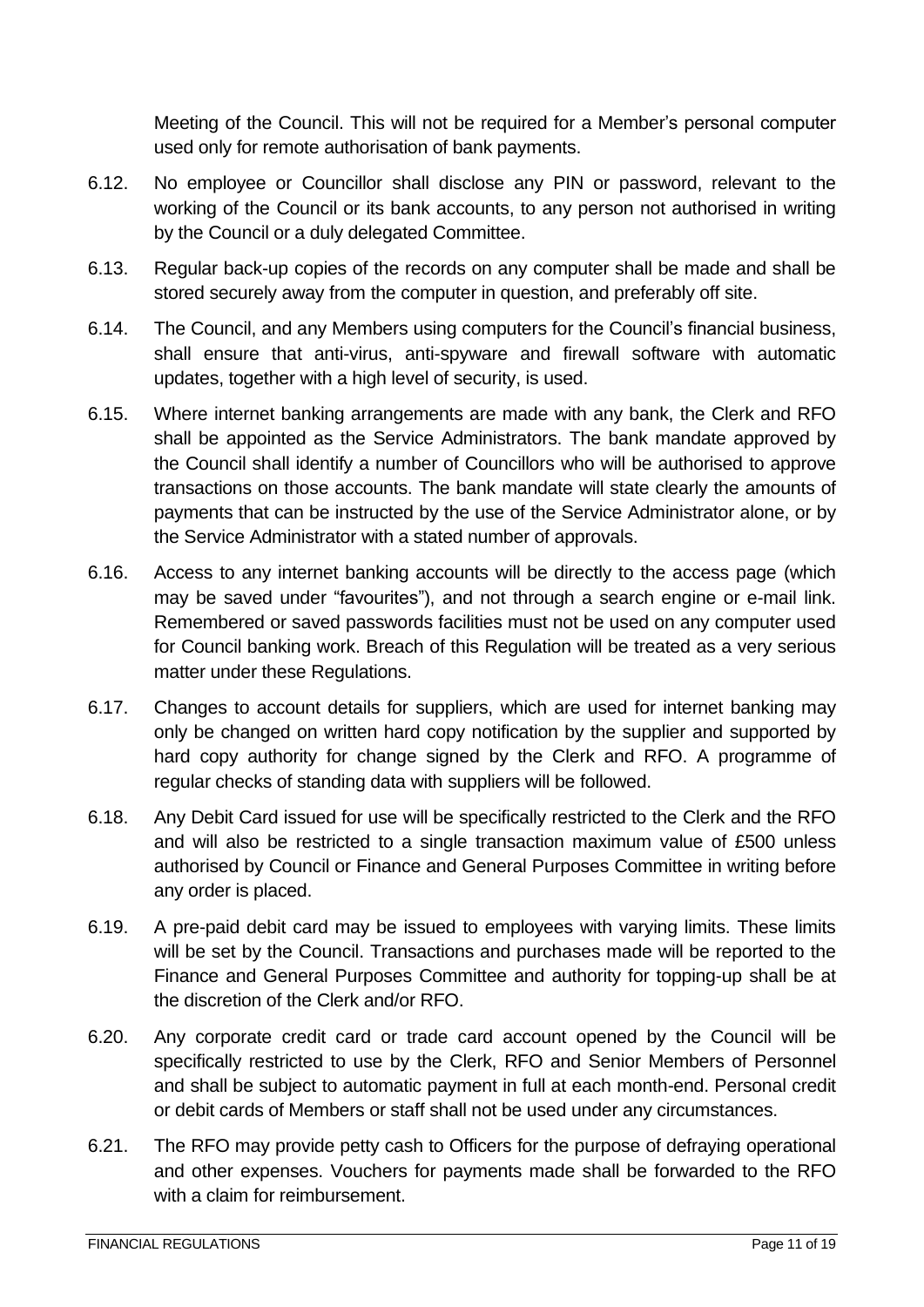Meeting of the Council. This will not be required for a Member's personal computer used only for remote authorisation of bank payments.

- 6.12. No employee or Councillor shall disclose any PIN or password, relevant to the working of the Council or its bank accounts, to any person not authorised in writing by the Council or a duly delegated Committee.
- 6.13. Regular back-up copies of the records on any computer shall be made and shall be stored securely away from the computer in question, and preferably off site.
- 6.14. The Council, and any Members using computers for the Council's financial business, shall ensure that anti-virus, anti-spyware and firewall software with automatic updates, together with a high level of security, is used.
- 6.15. Where internet banking arrangements are made with any bank, the Clerk and RFO shall be appointed as the Service Administrators. The bank mandate approved by the Council shall identify a number of Councillors who will be authorised to approve transactions on those accounts. The bank mandate will state clearly the amounts of payments that can be instructed by the use of the Service Administrator alone, or by the Service Administrator with a stated number of approvals.
- 6.16. Access to any internet banking accounts will be directly to the access page (which may be saved under "favourites"), and not through a search engine or e-mail link. Remembered or saved passwords facilities must not be used on any computer used for Council banking work. Breach of this Regulation will be treated as a very serious matter under these Regulations.
- 6.17. Changes to account details for suppliers, which are used for internet banking may only be changed on written hard copy notification by the supplier and supported by hard copy authority for change signed by the Clerk and RFO. A programme of regular checks of standing data with suppliers will be followed.
- 6.18. Any Debit Card issued for use will be specifically restricted to the Clerk and the RFO and will also be restricted to a single transaction maximum value of £500 unless authorised by Council or Finance and General Purposes Committee in writing before any order is placed.
- 6.19. A pre-paid debit card may be issued to employees with varying limits. These limits will be set by the Council. Transactions and purchases made will be reported to the Finance and General Purposes Committee and authority for topping-up shall be at the discretion of the Clerk and/or RFO.
- 6.20. Any corporate credit card or trade card account opened by the Council will be specifically restricted to use by the Clerk, RFO and Senior Members of Personnel and shall be subject to automatic payment in full at each month-end. Personal credit or debit cards of Members or staff shall not be used under any circumstances.
- 6.21. The RFO may provide petty cash to Officers for the purpose of defraying operational and other expenses. Vouchers for payments made shall be forwarded to the RFO with a claim for reimbursement.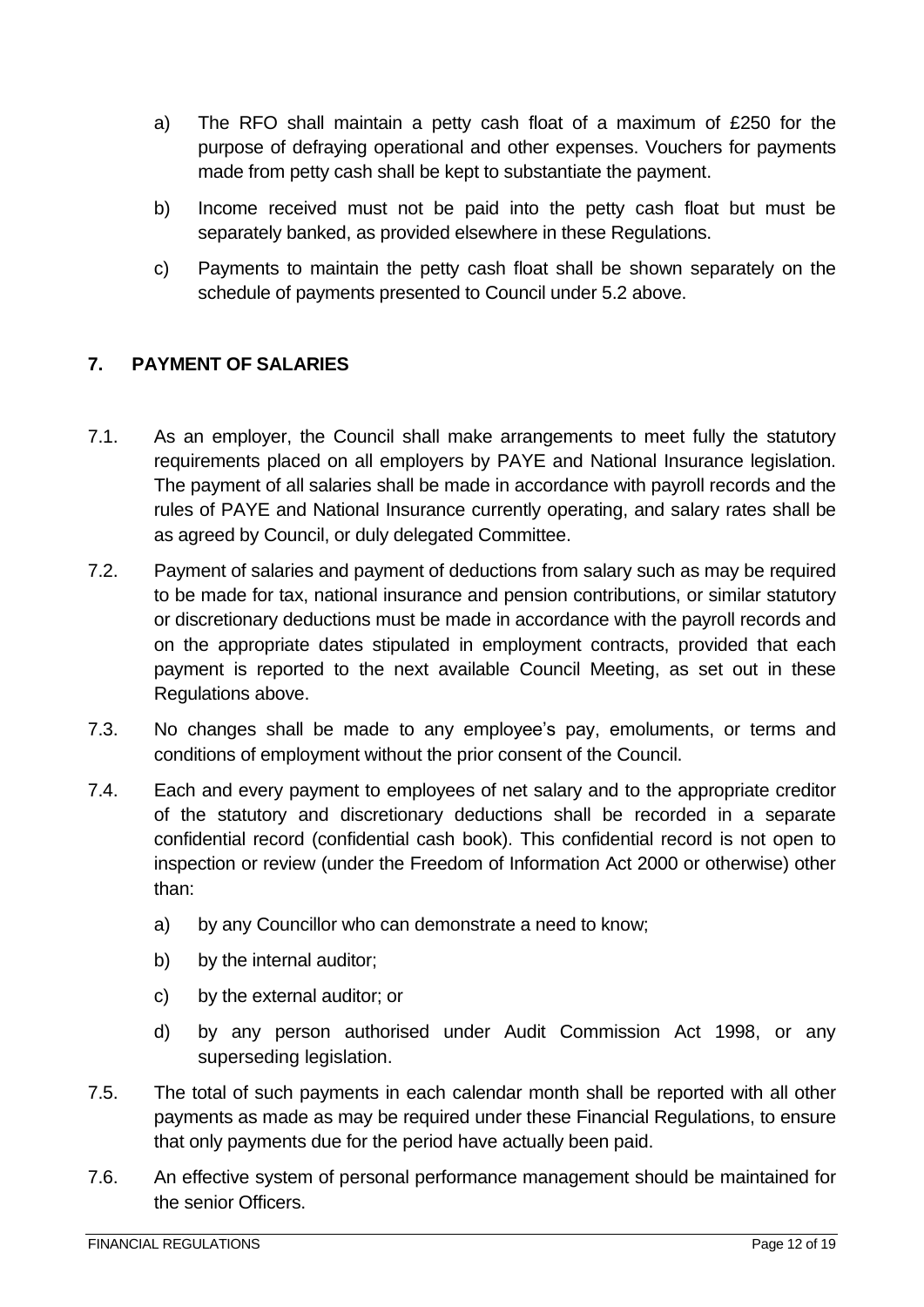- a) The RFO shall maintain a petty cash float of a maximum of £250 for the purpose of defraying operational and other expenses. Vouchers for payments made from petty cash shall be kept to substantiate the payment.
- b) Income received must not be paid into the petty cash float but must be separately banked, as provided elsewhere in these Regulations.
- c) Payments to maintain the petty cash float shall be shown separately on the schedule of payments presented to Council under 5.2 above.

#### <span id="page-11-0"></span>**7. PAYMENT OF SALARIES**

- 7.1. As an employer, the Council shall make arrangements to meet fully the statutory requirements placed on all employers by PAYE and National Insurance legislation. The payment of all salaries shall be made in accordance with payroll records and the rules of PAYE and National Insurance currently operating, and salary rates shall be as agreed by Council, or duly delegated Committee.
- 7.2. Payment of salaries and payment of deductions from salary such as may be required to be made for tax, national insurance and pension contributions, or similar statutory or discretionary deductions must be made in accordance with the payroll records and on the appropriate dates stipulated in employment contracts, provided that each payment is reported to the next available Council Meeting, as set out in these Regulations above.
- 7.3. No changes shall be made to any employee's pay, emoluments, or terms and conditions of employment without the prior consent of the Council.
- 7.4. Each and every payment to employees of net salary and to the appropriate creditor of the statutory and discretionary deductions shall be recorded in a separate confidential record (confidential cash book). This confidential record is not open to inspection or review (under the Freedom of Information Act 2000 or otherwise) other than:
	- a) by any Councillor who can demonstrate a need to know;
	- b) by the internal auditor;
	- c) by the external auditor; or
	- d) by any person authorised under Audit Commission Act 1998, or any superseding legislation.
- 7.5. The total of such payments in each calendar month shall be reported with all other payments as made as may be required under these Financial Regulations, to ensure that only payments due for the period have actually been paid.
- 7.6. An effective system of personal performance management should be maintained for the senior Officers.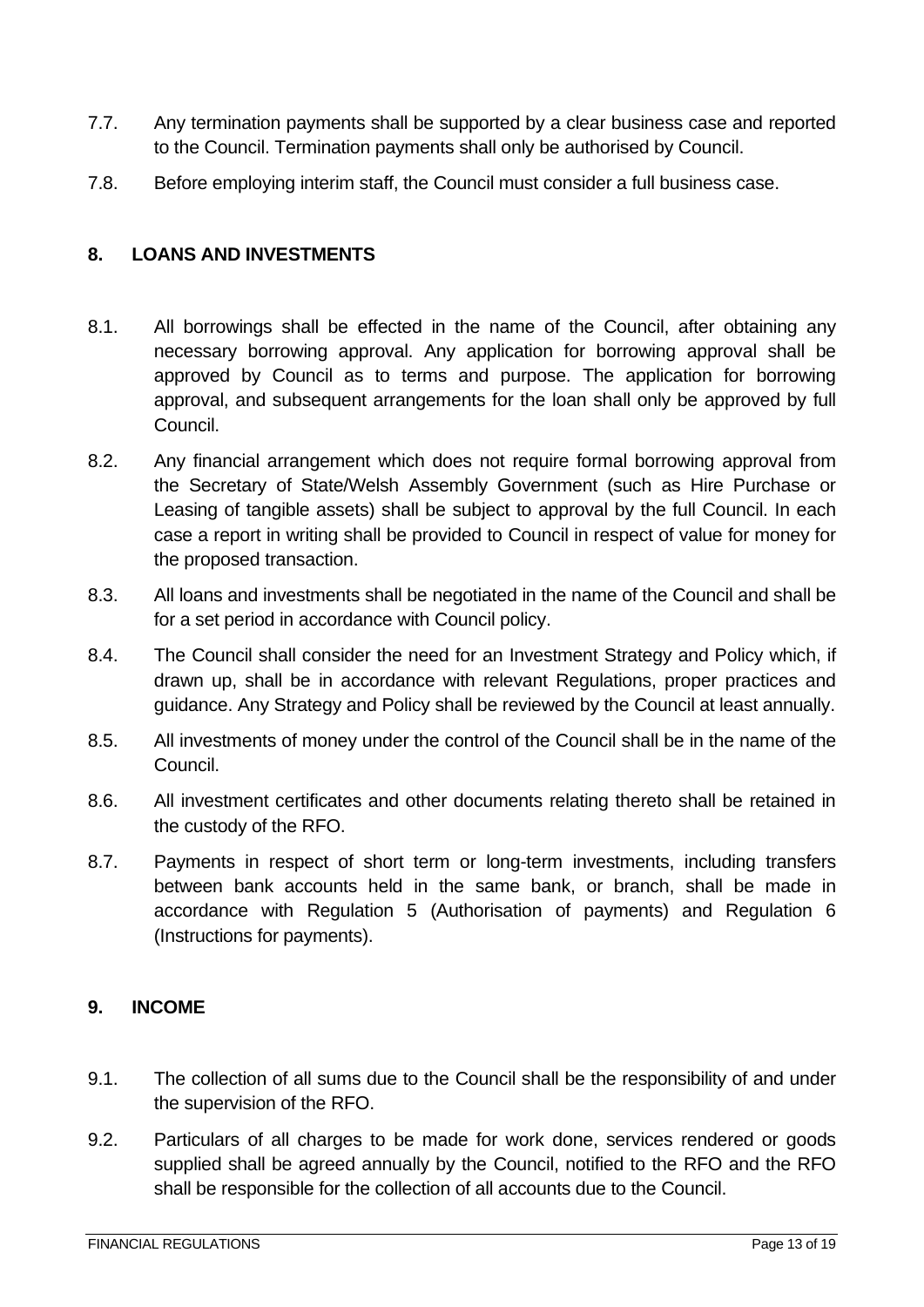- 7.7. Any termination payments shall be supported by a clear business case and reported to the Council. Termination payments shall only be authorised by Council.
- 7.8. Before employing interim staff, the Council must consider a full business case.

#### <span id="page-12-0"></span>**8. LOANS AND INVESTMENTS**

- 8.1. All borrowings shall be effected in the name of the Council, after obtaining any necessary borrowing approval. Any application for borrowing approval shall be approved by Council as to terms and purpose. The application for borrowing approval, and subsequent arrangements for the loan shall only be approved by full Council.
- 8.2. Any financial arrangement which does not require formal borrowing approval from the Secretary of State/Welsh Assembly Government (such as Hire Purchase or Leasing of tangible assets) shall be subject to approval by the full Council. In each case a report in writing shall be provided to Council in respect of value for money for the proposed transaction.
- 8.3. All loans and investments shall be negotiated in the name of the Council and shall be for a set period in accordance with Council policy.
- 8.4. The Council shall consider the need for an Investment Strategy and Policy which, if drawn up, shall be in accordance with relevant Regulations, proper practices and guidance. Any Strategy and Policy shall be reviewed by the Council at least annually.
- 8.5. All investments of money under the control of the Council shall be in the name of the Council.
- 8.6. All investment certificates and other documents relating thereto shall be retained in the custody of the RFO.
- 8.7. Payments in respect of short term or long-term investments, including transfers between bank accounts held in the same bank, or branch, shall be made in accordance with Regulation 5 (Authorisation of payments) and Regulation 6 (Instructions for payments).

#### <span id="page-12-1"></span>**9. INCOME**

- 9.1. The collection of all sums due to the Council shall be the responsibility of and under the supervision of the RFO.
- 9.2. Particulars of all charges to be made for work done, services rendered or goods supplied shall be agreed annually by the Council, notified to the RFO and the RFO shall be responsible for the collection of all accounts due to the Council.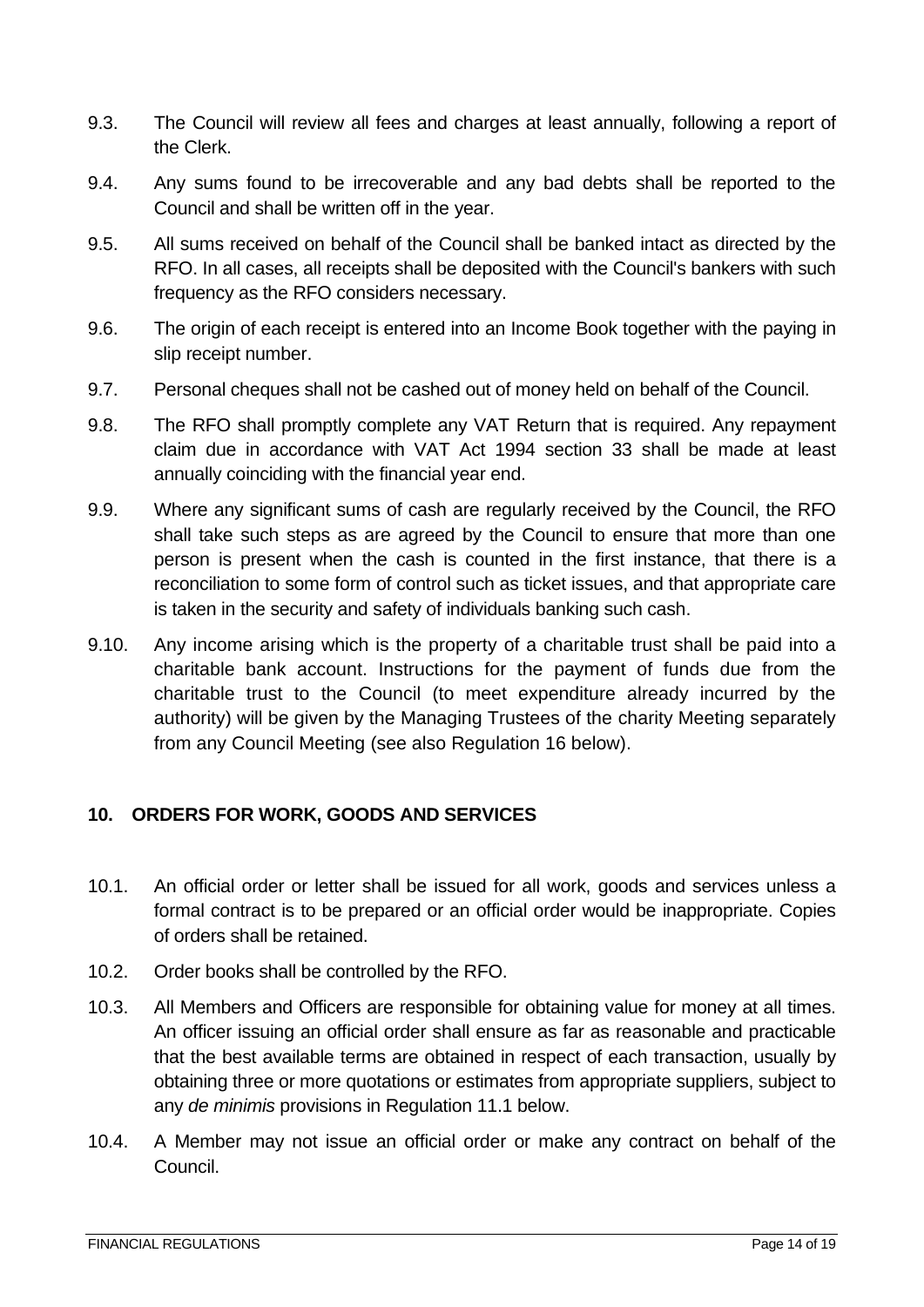- 9.3. The Council will review all fees and charges at least annually, following a report of the Clerk.
- 9.4. Any sums found to be irrecoverable and any bad debts shall be reported to the Council and shall be written off in the year.
- 9.5. All sums received on behalf of the Council shall be banked intact as directed by the RFO. In all cases, all receipts shall be deposited with the Council's bankers with such frequency as the RFO considers necessary.
- 9.6. The origin of each receipt is entered into an Income Book together with the paying in slip receipt number.
- 9.7. Personal cheques shall not be cashed out of money held on behalf of the Council.
- 9.8. The RFO shall promptly complete any VAT Return that is required. Any repayment claim due in accordance with VAT Act 1994 section 33 shall be made at least annually coinciding with the financial year end.
- 9.9. Where any significant sums of cash are regularly received by the Council, the RFO shall take such steps as are agreed by the Council to ensure that more than one person is present when the cash is counted in the first instance, that there is a reconciliation to some form of control such as ticket issues, and that appropriate care is taken in the security and safety of individuals banking such cash.
- 9.10. Any income arising which is the property of a charitable trust shall be paid into a charitable bank account. Instructions for the payment of funds due from the charitable trust to the Council (to meet expenditure already incurred by the authority) will be given by the Managing Trustees of the charity Meeting separately from any Council Meeting (see also Regulation 16 below).

#### <span id="page-13-0"></span>**10. ORDERS FOR WORK, GOODS AND SERVICES**

- 10.1. An official order or letter shall be issued for all work, goods and services unless a formal contract is to be prepared or an official order would be inappropriate. Copies of orders shall be retained.
- 10.2. Order books shall be controlled by the RFO.
- 10.3. All Members and Officers are responsible for obtaining value for money at all times. An officer issuing an official order shall ensure as far as reasonable and practicable that the best available terms are obtained in respect of each transaction, usually by obtaining three or more quotations or estimates from appropriate suppliers, subject to any *de minimis* provisions in Regulation 11.1 below.
- 10.4. A Member may not issue an official order or make any contract on behalf of the Council.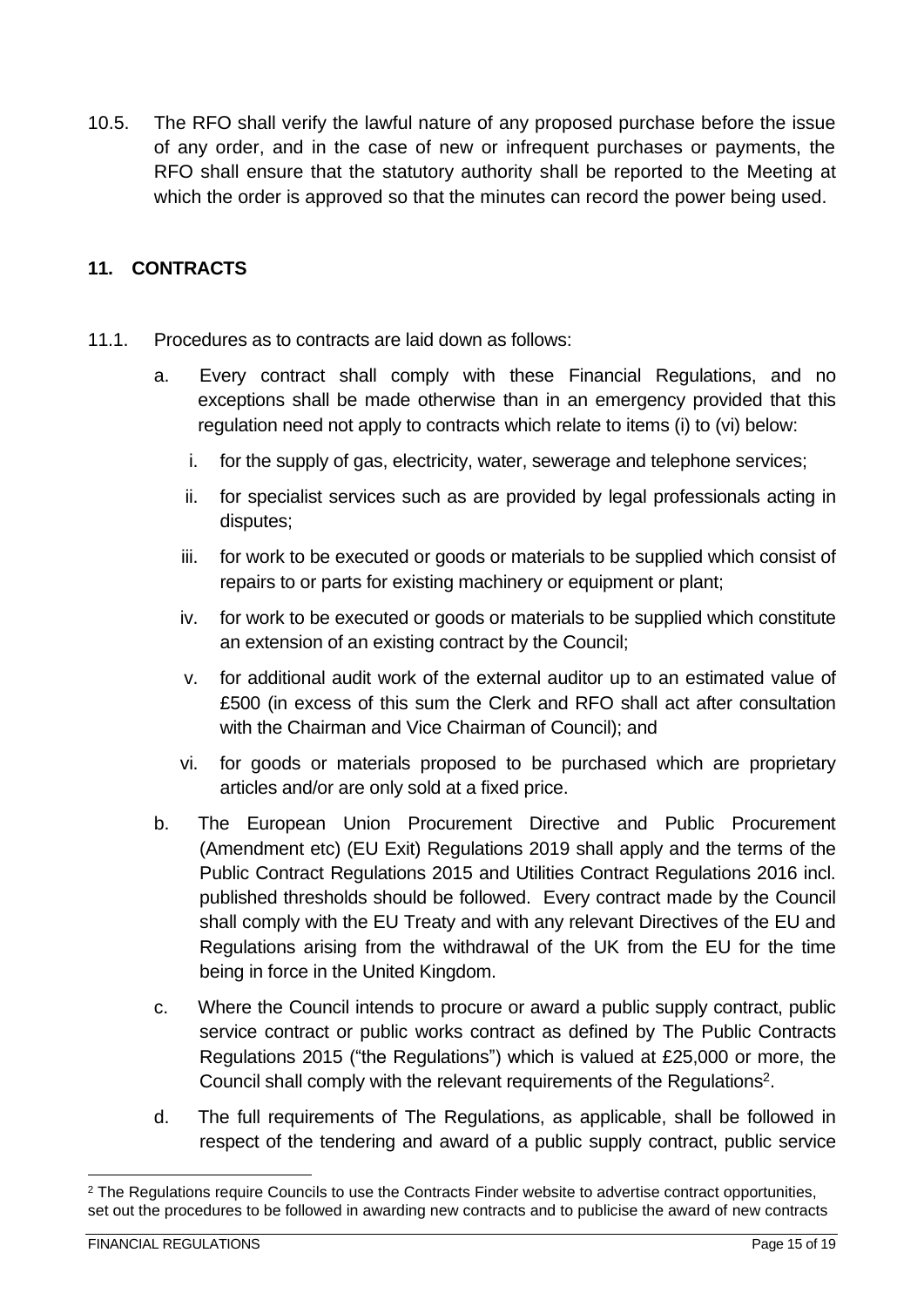10.5. The RFO shall verify the lawful nature of any proposed purchase before the issue of any order, and in the case of new or infrequent purchases or payments, the RFO shall ensure that the statutory authority shall be reported to the Meeting at which the order is approved so that the minutes can record the power being used.

### <span id="page-14-0"></span>**11. CONTRACTS**

- 11.1. Procedures as to contracts are laid down as follows:
	- a. Every contract shall comply with these Financial Regulations, and no exceptions shall be made otherwise than in an emergency provided that this regulation need not apply to contracts which relate to items (i) to (vi) below:
		- i. for the supply of gas, electricity, water, sewerage and telephone services;
		- ii. for specialist services such as are provided by legal professionals acting in disputes;
		- iii. for work to be executed or goods or materials to be supplied which consist of repairs to or parts for existing machinery or equipment or plant;
		- iv. for work to be executed or goods or materials to be supplied which constitute an extension of an existing contract by the Council;
		- v. for additional audit work of the external auditor up to an estimated value of £500 (in excess of this sum the Clerk and RFO shall act after consultation with the Chairman and Vice Chairman of Council); and
		- vi. for goods or materials proposed to be purchased which are proprietary articles and/or are only sold at a fixed price.
	- b. The European Union Procurement Directive and Public Procurement (Amendment etc) (EU Exit) Regulations 2019 shall apply and the terms of the Public Contract Regulations 2015 and Utilities Contract Regulations 2016 incl. published thresholds should be followed. Every contract made by the Council shall comply with the EU Treaty and with any relevant Directives of the EU and Regulations arising from the withdrawal of the UK from the EU for the time being in force in the United Kingdom.
	- c. Where the Council intends to procure or award a public supply contract, public service contract or public works contract as defined by The Public Contracts Regulations 2015 ("the Regulations") which is valued at £25,000 or more, the Council shall comply with the relevant requirements of the Regulations<sup>2</sup>.
	- d. The full requirements of The Regulations, as applicable, shall be followed in respect of the tendering and award of a public supply contract, public service

<sup>&</sup>lt;sup>2</sup> The Regulations require Councils to use the Contracts Finder website to advertise contract opportunities, set out the procedures to be followed in awarding new contracts and to publicise the award of new contracts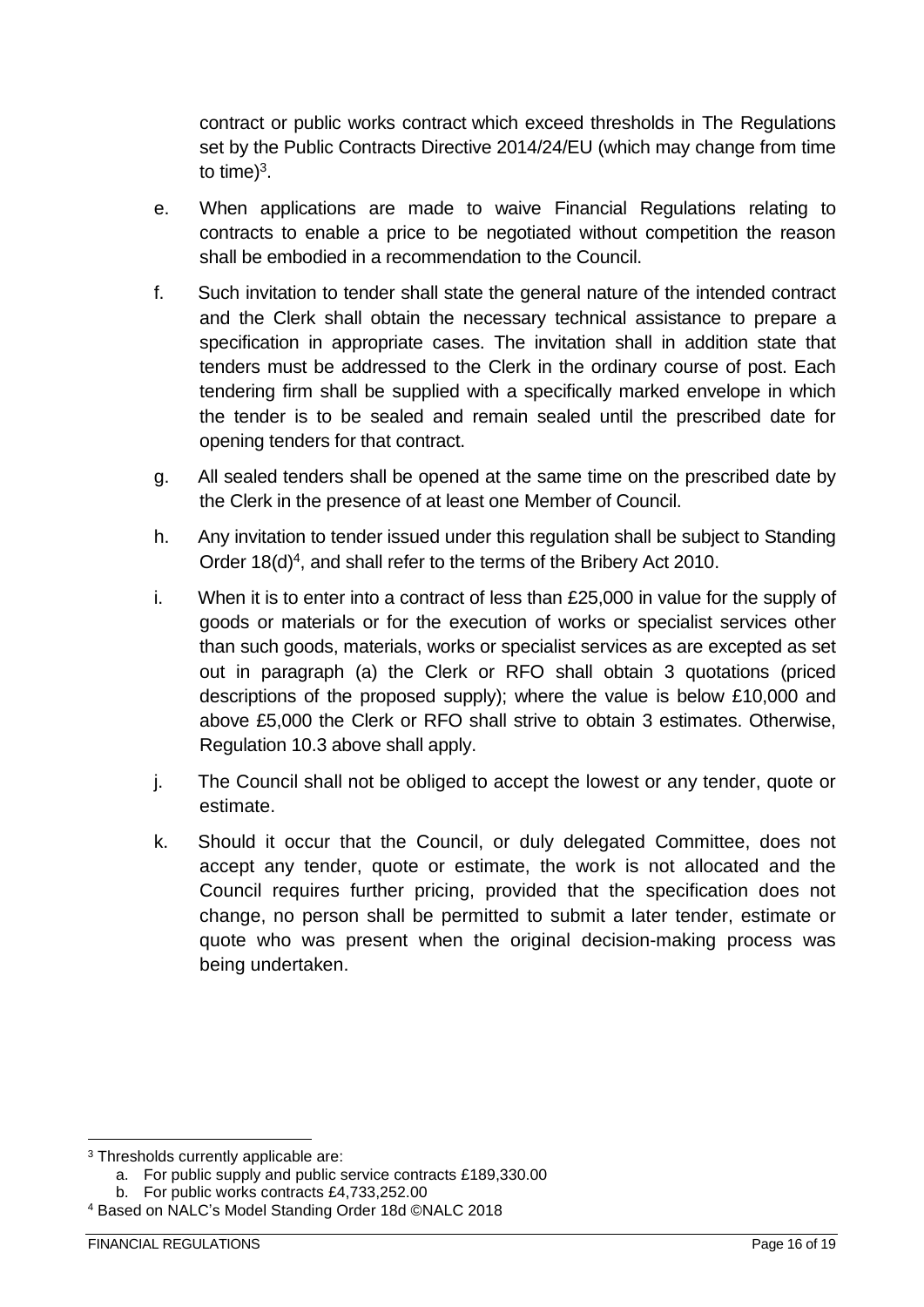contract or public works contract which exceed thresholds in The Regulations set by the Public Contracts Directive 2014/24/EU (which may change from time to time) $3$ .

- e. When applications are made to waive Financial Regulations relating to contracts to enable a price to be negotiated without competition the reason shall be embodied in a recommendation to the Council.
- f. Such invitation to tender shall state the general nature of the intended contract and the Clerk shall obtain the necessary technical assistance to prepare a specification in appropriate cases. The invitation shall in addition state that tenders must be addressed to the Clerk in the ordinary course of post. Each tendering firm shall be supplied with a specifically marked envelope in which the tender is to be sealed and remain sealed until the prescribed date for opening tenders for that contract.
- g. All sealed tenders shall be opened at the same time on the prescribed date by the Clerk in the presence of at least one Member of Council.
- h. Any invitation to tender issued under this regulation shall be subject to Standing Order 18(d)<sup>4</sup>, and shall refer to the terms of the Bribery Act 2010.
- i. When it is to enter into a contract of less than £25,000 in value for the supply of goods or materials or for the execution of works or specialist services other than such goods, materials, works or specialist services as are excepted as set out in paragraph (a) the Clerk or RFO shall obtain 3 quotations (priced descriptions of the proposed supply); where the value is below £10,000 and above £5,000 the Clerk or RFO shall strive to obtain 3 estimates. Otherwise, Regulation 10.3 above shall apply.
- j. The Council shall not be obliged to accept the lowest or any tender, quote or estimate.
- k. Should it occur that the Council, or duly delegated Committee, does not accept any tender, quote or estimate, the work is not allocated and the Council requires further pricing, provided that the specification does not change, no person shall be permitted to submit a later tender, estimate or quote who was present when the original decision-making process was being undertaken.

<sup>3</sup> Thresholds currently applicable are:

a. For public supply and public service contracts £189,330.00

b. For public works contracts £4,733,252.00

<sup>4</sup> Based on NALC's Model Standing Order 18d ©NALC 2018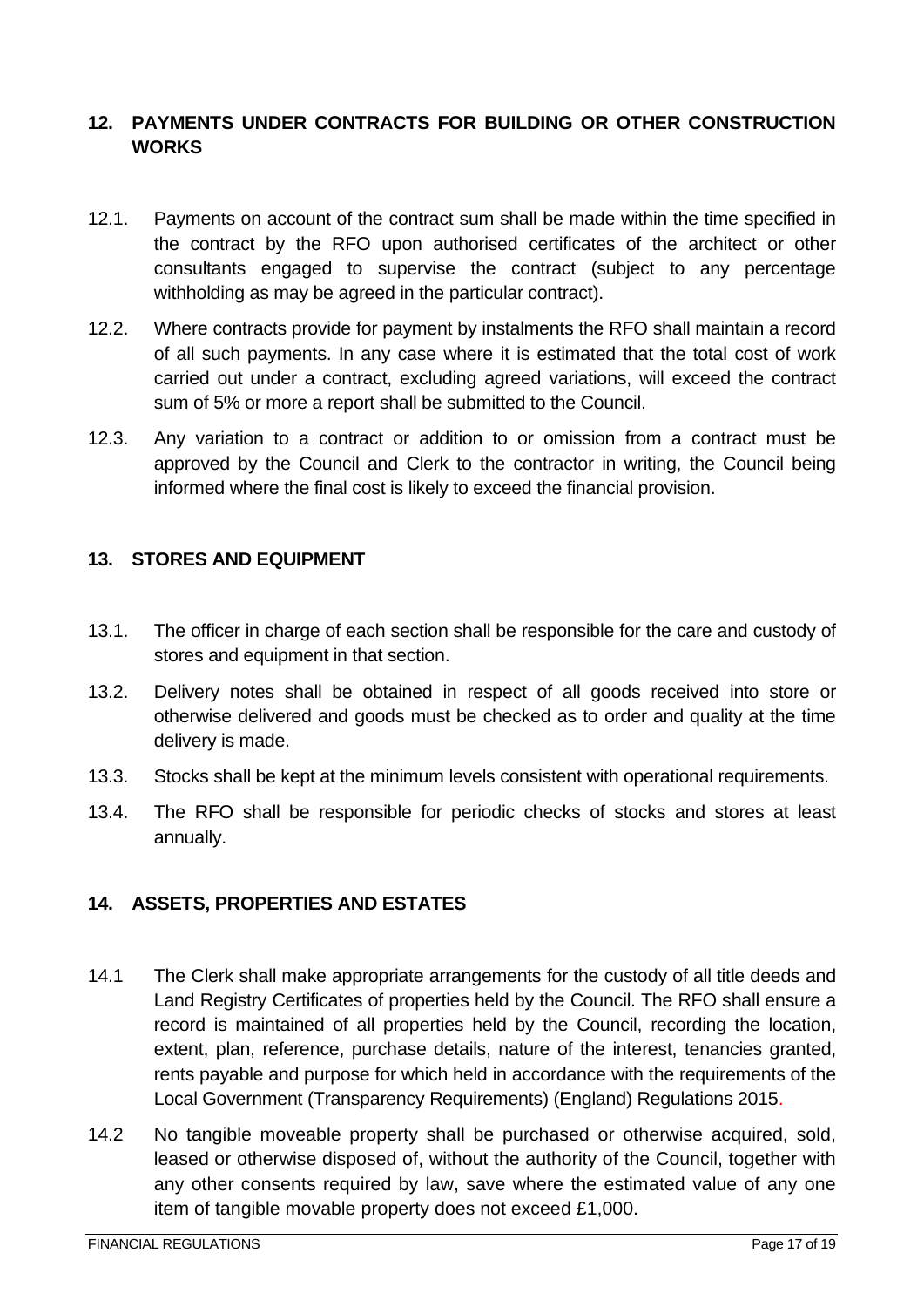#### <span id="page-16-0"></span>**12. PAYMENTS UNDER CONTRACTS FOR BUILDING OR OTHER CONSTRUCTION WORKS**

- 12.1. Payments on account of the contract sum shall be made within the time specified in the contract by the RFO upon authorised certificates of the architect or other consultants engaged to supervise the contract (subject to any percentage withholding as may be agreed in the particular contract).
- 12.2. Where contracts provide for payment by instalments the RFO shall maintain a record of all such payments. In any case where it is estimated that the total cost of work carried out under a contract, excluding agreed variations, will exceed the contract sum of 5% or more a report shall be submitted to the Council.
- 12.3. Any variation to a contract or addition to or omission from a contract must be approved by the Council and Clerk to the contractor in writing, the Council being informed where the final cost is likely to exceed the financial provision.

#### <span id="page-16-1"></span>**13. STORES AND EQUIPMENT**

- 13.1. The officer in charge of each section shall be responsible for the care and custody of stores and equipment in that section.
- 13.2. Delivery notes shall be obtained in respect of all goods received into store or otherwise delivered and goods must be checked as to order and quality at the time delivery is made.
- 13.3. Stocks shall be kept at the minimum levels consistent with operational requirements.
- 13.4. The RFO shall be responsible for periodic checks of stocks and stores at least annually.

#### <span id="page-16-2"></span>**14. ASSETS, PROPERTIES AND ESTATES**

- 14.1 The Clerk shall make appropriate arrangements for the custody of all title deeds and Land Registry Certificates of properties held by the Council. The RFO shall ensure a record is maintained of all properties held by the Council, recording the location, extent, plan, reference, purchase details, nature of the interest, tenancies granted, rents payable and purpose for which held in accordance with the requirements of the Local Government (Transparency Requirements) (England) Regulations 2015.
- 14.2 No tangible moveable property shall be purchased or otherwise acquired, sold, leased or otherwise disposed of, without the authority of the Council, together with any other consents required by law, save where the estimated value of any one item of tangible movable property does not exceed £1,000.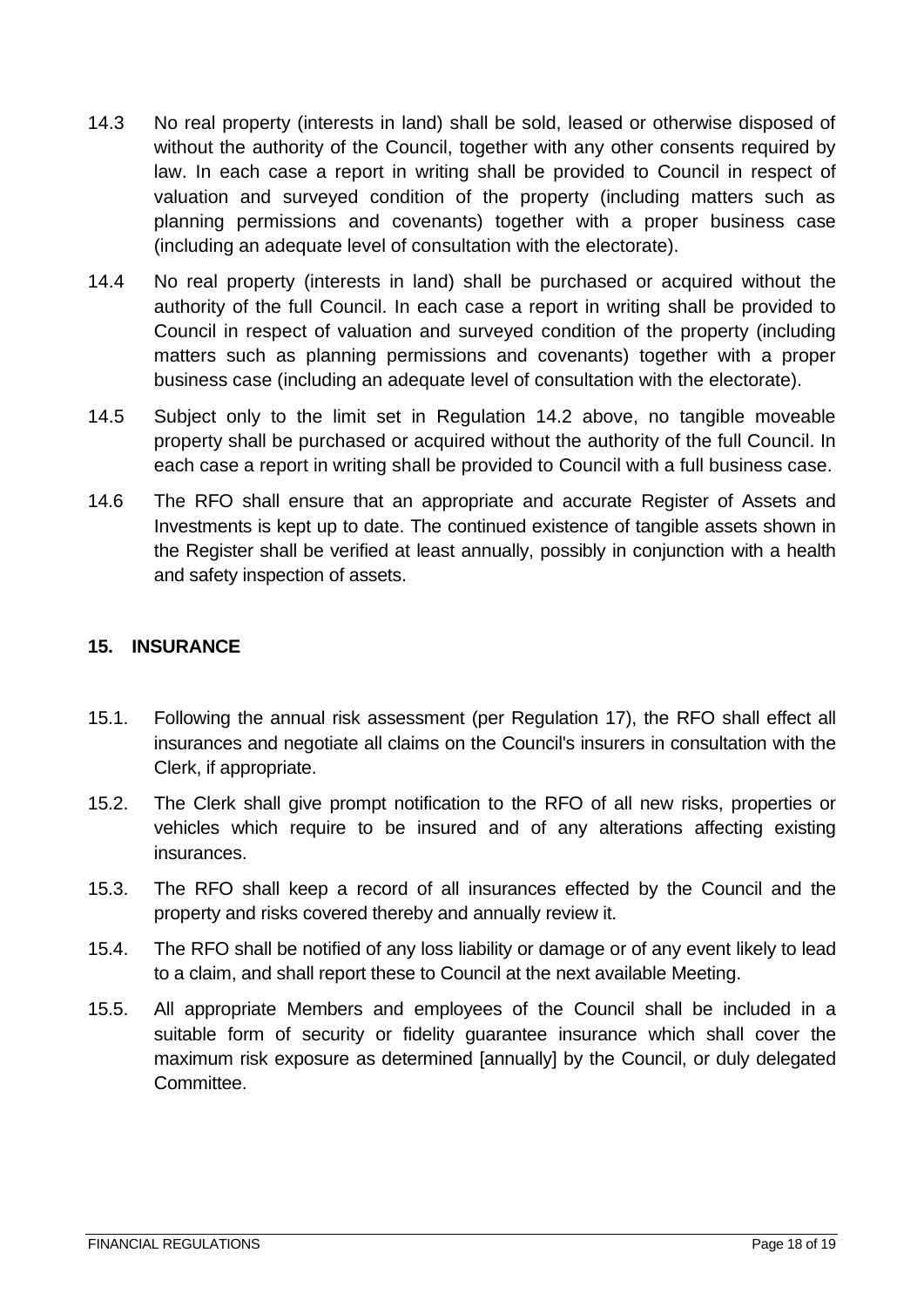- 14.3 No real property (interests in land) shall be sold, leased or otherwise disposed of without the authority of the Council, together with any other consents required by law. In each case a report in writing shall be provided to Council in respect of valuation and surveyed condition of the property (including matters such as planning permissions and covenants) together with a proper business case (including an adequate level of consultation with the electorate).
- 14.4 No real property (interests in land) shall be purchased or acquired without the authority of the full Council. In each case a report in writing shall be provided to Council in respect of valuation and surveyed condition of the property (including matters such as planning permissions and covenants) together with a proper business case (including an adequate level of consultation with the electorate).
- 14.5 Subject only to the limit set in Regulation 14.2 above, no tangible moveable property shall be purchased or acquired without the authority of the full Council. In each case a report in writing shall be provided to Council with a full business case.
- 14.6 The RFO shall ensure that an appropriate and accurate Register of Assets and Investments is kept up to date. The continued existence of tangible assets shown in the Register shall be verified at least annually, possibly in conjunction with a health and safety inspection of assets.

#### <span id="page-17-0"></span>**15. INSURANCE**

- 15.1. Following the annual risk assessment (per Regulation 17), the RFO shall effect all insurances and negotiate all claims on the Council's insurers in consultation with the Clerk, if appropriate.
- 15.2. The Clerk shall give prompt notification to the RFO of all new risks, properties or vehicles which require to be insured and of any alterations affecting existing insurances.
- 15.3. The RFO shall keep a record of all insurances effected by the Council and the property and risks covered thereby and annually review it.
- 15.4. The RFO shall be notified of any loss liability or damage or of any event likely to lead to a claim, and shall report these to Council at the next available Meeting.
- 15.5. All appropriate Members and employees of the Council shall be included in a suitable form of security or fidelity guarantee insurance which shall cover the maximum risk exposure as determined [annually] by the Council, or duly delegated Committee.